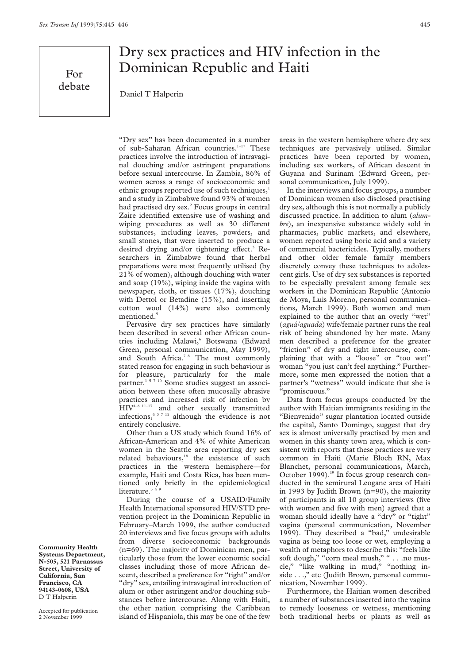For debate

## Dry sex practi[ces](http://sti.bmj.com) [and](http://sti.bmj.com) HIV infection in the Dominican Republic and Haiti

Daniel T Halperin

"Dry sex" has been documented in a number of sub-Saharan African countries.<sup>1-17</sup> These practices involve the introduction of intravaginal douching and/or astringent preparations before sexual intercourse. In Zambia, 86% of women across a range of socioeconomic and ethnic groups reported use of such techniques,<sup>1</sup> and a study in Zimbabwe found 93% of women had practised dry sex.<sup>2</sup> Focus groups in central Zaire identified extensive use of washing and wiping procedures as well as 30 different substances, including leaves, powders, and small stones, that were inserted to produce a desired drying and/or tightening effect.<sup>3</sup> Researchers in Zimbabwe found that herbal preparations were most frequently utilised (by 21% of women), although douching with water and soap (19%), wiping inside the vagina with newspaper, cloth, or tissues (17%), douching with Dettol or Betadine (15%), and inserting cotton wool (14%) were also commonly mentioned.<sup>5</sup>

Pervasive dry sex practices have similarly been described in several other African countries including Malawi,<sup>6</sup> Botswana (Edward Green, personal communication, May 1999), and South Africa.<sup>78</sup> The most commonly stated reason for engaging in such behaviour is for pleasure, particularly for the male partner.1–5 7–10 Some studies suggest an association between these often mucosally abrasive practices and increased risk of infection by HIV<sup>4-6 11-17</sup> and other sexually transmitted infections,  $45715$  although the evidence is not entirely conclusive.

Other than a US study which found 16% of African-American and 4% of white American women in the Seattle area reporting dry sex related behaviours,<sup>18</sup> the existence of such practices in the western hemisphere—for example, Haiti and Costa Rica, has been mentioned only briefly in the epidemiological literature.<sup>349</sup>

During the course of a USAID/Family Health International sponsored HIV/STD prevention project in the Dominican Republic in February–March 1999, the author conducted 20 interviews and five focus groups with adults from diverse socioeconomic backgrounds (n=69). The majority of Dominican men, particularly those from the lower economic social classes including those of more African descent, described a preference for "tight" and/or "dry" sex, entailing intravaginal introduction of alum or other astringent and/or douching substances before intercourse. Along with Haiti, the other nation comprising the Caribbean island of Hispaniola, this may be one of the few

areas in the western hemisphere where dry sex techniques are pervasively utilised. Similar practices have been reported by women, including sex workers, of African descent in Guyana and Surinam (Edward Green, personal communication, July 1999).

In the interviews and focus groups, a number of Dominican women also disclosed practising dry sex, although this is not normally a publicly discussed practice. In addition to alum (*alumbre*), an inexpensive substance widely sold in pharmacies, public markets, and elsewhere, women reported using boric acid and a variety of commercial bactericides. Typically, mothers and other older female family members discretely convey these techniques to adolescent girls. Use of dry sex substances is reported to be especially prevalent among female sex workers in the Dominican Republic (Antonio de Moya, Luis Moreno, personal communications, March 1999). Both women and men explained to the author that an overly "wet" (*aguá/aguada*) wife/female partner runs the real risk of being abandoned by her mate. Many men described a preference for the greater "friction" of dry and tight intercourse, complaining that with a "loose" or "too wet" woman "you just can't feel anything." Furthermore, some men expressed the notion that a partner's "wetness" would indicate that she is "promiscuous."

Data from focus groups conducted by the author with Haitian immigrants residing in the "Bienvenido" sugar plantation located outside the capital, Santo Domingo, suggest that dry sex is almost universally practised by men and women in this shanty town area, which is consistent with reports that these practices are very common in Haiti (Marie Bloch RN, Max Blanchet, personal communications, March, October 1999).<sup>19</sup> In focus group research conducted in the semirural Leogane area of Haiti in 1993 by Judith Brown (n=90), the majority of participants in all 10 group interviews (five with women and five with men) agreed that a woman should ideally have a "dry" or "tight" vagina (personal communication, November 1999). They described a "bad," undesirable vagina as being too loose or wet, employing a wealth of metaphors to describe this: "feels like soft dough," "corn meal mush," " . . .no muscle," "like walking in mud," "nothing inside . . .," etc (Judith Brown, personal communication, November 1999).

Furthermore, the Haitian women described a number of substances inserted into the vagina to remedy looseness or wetness, mentioning both traditional herbs or plants as well as

**Community Health Systems Department, N-505, 521 Parnassus Street, University of California, San Francisco, CA 94143-0608, USA** D T Halperin

Accepted for publication 2 November 1999